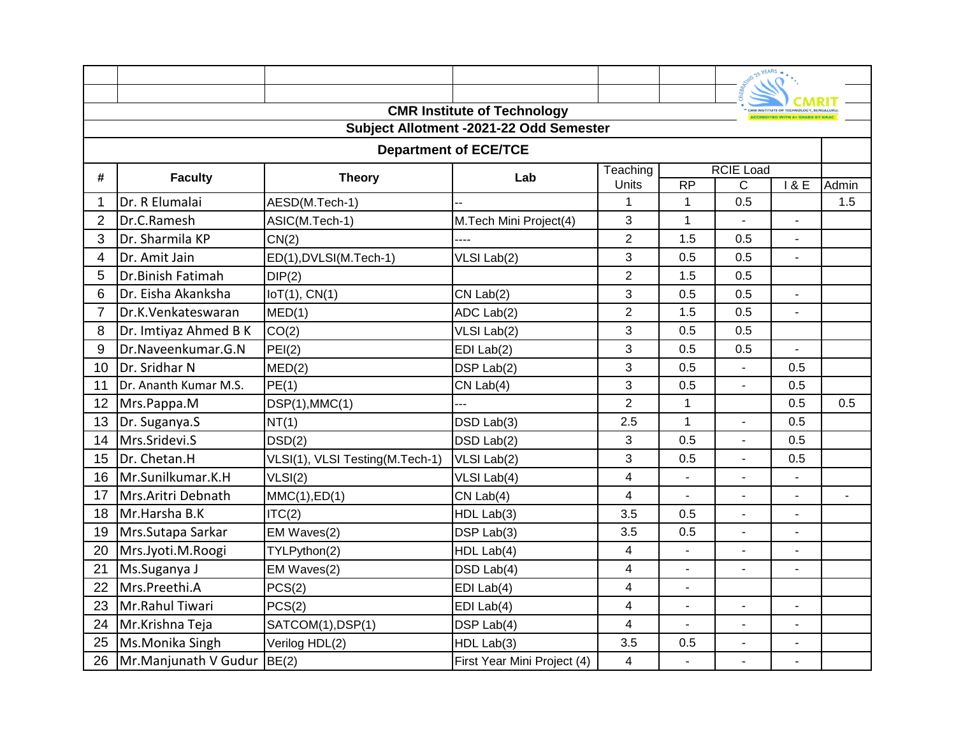|                |                            |                                 |                                         |                         |                          | SERVIS 25 YEARS .            |                                       |     |
|----------------|----------------------------|---------------------------------|-----------------------------------------|-------------------------|--------------------------|------------------------------|---------------------------------------|-----|
|                |                            |                                 |                                         |                         |                          |                              | CMR INSTITUTE OF TECHNOLOGY, BENGALUI |     |
|                |                            |                                 | <b>CMR Institute of Technology</b>      |                         |                          |                              |                                       |     |
|                |                            |                                 | Subject Allotment -2021-22 Odd Semester |                         |                          |                              |                                       |     |
|                |                            |                                 | <b>Department of ECE/TCE</b>            |                         |                          | <b>RCIE Load</b>             |                                       |     |
| #              | <b>Faculty</b>             | <b>Theory</b>                   | Lab                                     | Teaching<br>Units       | $\overline{RP}$          | 18E                          | Admin                                 |     |
|                | Dr. R Elumalai             | AESD(M.Tech-1)                  |                                         | 1                       | $\mathbf 1$              | $\overline{\text{c}}$<br>0.5 |                                       | 1.5 |
| $\overline{2}$ | Dr.C.Ramesh                | ASIC(M.Tech-1)                  | M.Tech Mini Project(4)                  | 3                       | $\mathbf{1}$             |                              |                                       |     |
| 3              | Dr. Sharmila KP            | CN(2)                           |                                         | $\overline{2}$          | 1.5                      | 0.5                          |                                       |     |
| 4              | Dr. Amit Jain              | ED(1), DVLSI(M.Tech-1)          | VLSI Lab(2)                             | 3                       | 0.5                      | 0.5                          |                                       |     |
| 5              | Dr.Binish Fatimah          | DIP(2)                          |                                         | $\overline{2}$          | 1.5                      | 0.5                          |                                       |     |
| 6              | Dr. Eisha Akanksha         | IoT(1), CN(1)                   | $CN$ Lab $(2)$                          | 3                       | 0.5                      | 0.5                          | $\overline{a}$                        |     |
| $\overline{7}$ | Dr.K.Venkateswaran         | MED(1)                          | ADC Lab(2)                              | $\overline{2}$          | 1.5                      | 0.5                          |                                       |     |
| 8              | Dr. Imtiyaz Ahmed B K      | CO(2)                           | VLSI Lab(2)                             | 3                       | 0.5                      | 0.5                          |                                       |     |
| 9              | Dr.Naveenkumar.G.N         | PEI(2)                          | $EDI$ Lab $(2)$                         | 3                       | 0.5                      | 0.5                          | $\overline{a}$                        |     |
| 10             | Dr. Sridhar N              | MED(2)                          | DSP Lab(2)                              | 3                       | 0.5                      |                              | 0.5                                   |     |
| 11             | Dr. Ananth Kumar M.S.      | PE(1)                           | $CN$ Lab $(4)$                          | 3                       | 0.5                      | $\overline{a}$               | 0.5                                   |     |
| 12             | Mrs.Pappa.M                | DSP(1), MMC(1)                  |                                         | $\overline{2}$          | $\mathbf{1}$             |                              | 0.5                                   | 0.5 |
| 13             | Dr. Suganya.S              | NT(1)                           | DSD Lab(3)                              | 2.5                     | $\mathbf{1}$             | $\overline{\phantom{0}}$     | 0.5                                   |     |
| 14             | Mrs.Sridevi.S              | DSD(2)                          | DSD Lab(2)                              | 3                       | 0.5                      | $\blacksquare$               | 0.5                                   |     |
| 15             | Dr. Chetan.H               | VLSI(1), VLSI Testing(M.Tech-1) | VLSI Lab(2)                             | 3                       | 0.5                      | $\blacksquare$               | 0.5                                   |     |
| 16             | Mr.Sunilkumar.K.H          | VLSI(2)                         | VLSI Lab(4)                             | $\overline{4}$          |                          |                              |                                       |     |
| 17             | Mrs.Aritri Debnath         | MMC(1),ED(1)                    | $CN$ Lab $(4)$                          | 4                       |                          |                              |                                       |     |
| 18             | Mr.Harsha B.K              | ITC(2)                          | HDL Lab(3)                              | 3.5                     | 0.5                      | $\blacksquare$               |                                       |     |
| 19             | Mrs.Sutapa Sarkar          | EM Waves(2)                     | DSP Lab(3)                              | 3.5                     | 0.5                      | $\blacksquare$               | $\blacksquare$                        |     |
| 20             | Mrs.Jyoti.M.Roogi          | TYLPython(2)                    | HDL Lab(4)                              | 4                       | $\overline{a}$           | $\overline{a}$               |                                       |     |
| 21             | Ms.Suganya J               | EM Waves(2)                     | DSD Lab(4)                              | 4                       | $\overline{\phantom{a}}$ | $\blacksquare$               | $\blacksquare$                        |     |
| 22             | Mrs.Preethi.A              | PCS(2)                          | EDI Lab(4)                              | 4                       | $\overline{\phantom{a}}$ |                              |                                       |     |
| 23             | Mr.Rahul Tiwari            | PCS(2)                          | $EDI$ Lab $(4)$                         | 4                       | L.                       | $\overline{a}$               | ÷,                                    |     |
| 24             | Mr.Krishna Teja            | SATCOM(1), DSP(1)               | DSP Lab(4)                              | 4                       | ÷,                       |                              |                                       |     |
| 25             | Ms.Monika Singh            | Verilog HDL(2)                  | HDL Lab(3)                              | 3.5                     | 0.5                      | ÷,                           | $\blacksquare$                        |     |
| 26             | Mr.Manjunath V Gudur BE(2) |                                 | First Year Mini Project (4)             | $\overline{\mathbf{4}}$ | L.                       |                              | $\overline{a}$                        |     |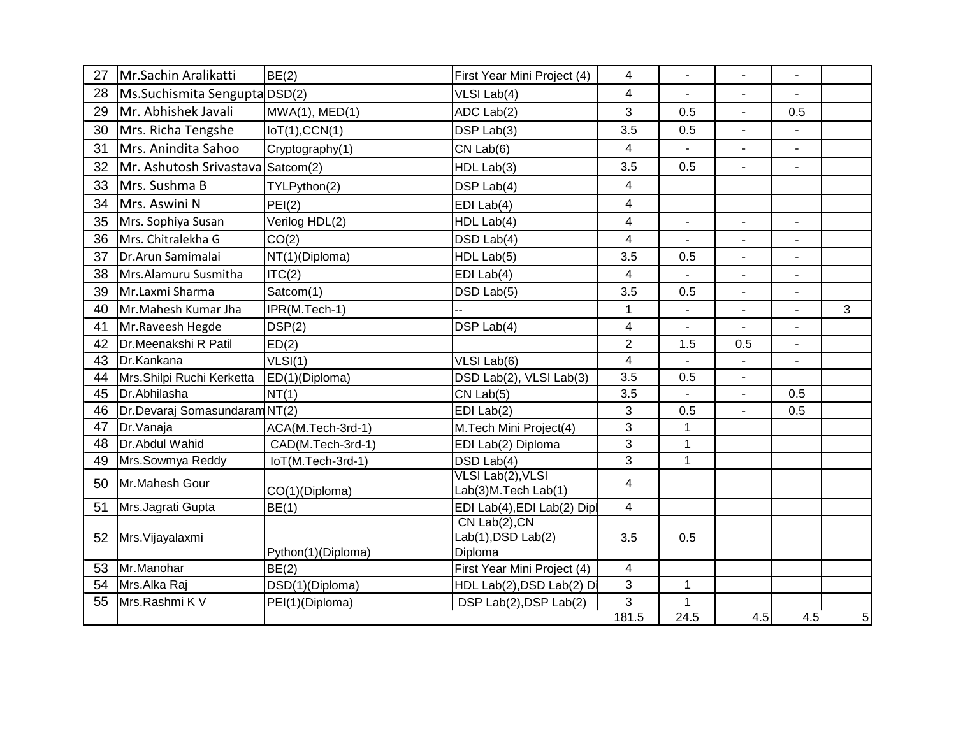| 27 | Mr.Sachin Aralikatti          | BE(2)              | First Year Mini Project (4)                          | $\overline{4}$ | $\blacksquare$           | $\blacksquare$           |                          |   |
|----|-------------------------------|--------------------|------------------------------------------------------|----------------|--------------------------|--------------------------|--------------------------|---|
| 28 | Ms.Suchismita Sengupta DSD(2) |                    | VLSI Lab(4)                                          | 4              | $\overline{\phantom{a}}$ | $\overline{\phantom{a}}$ | $\overline{\phantom{a}}$ |   |
| 29 | Mr. Abhishek Javali           | MWA(1), MED(1)     | ADC Lab(2)                                           | 3              | 0.5                      | $\blacksquare$           | 0.5                      |   |
| 30 | Mrs. Richa Tengshe            | IoT(1),CCN(1)      | DSP Lab(3)                                           | 3.5            | 0.5                      | $\blacksquare$           |                          |   |
| 31 | Mrs. Anindita Sahoo           | Cryptography(1)    | $CN$ Lab $(6)$                                       | 4              |                          |                          | $\overline{a}$           |   |
| 32 | Mr. Ashutosh Srivastava       | Satcom(2)          | HDL Lab(3)                                           | 3.5            | 0.5                      |                          | ÷                        |   |
| 33 | Mrs. Sushma B                 | TYLPython(2)       | DSP Lab(4)                                           | 4              |                          |                          |                          |   |
| 34 | Mrs. Aswini N                 | PEI(2)             | EDI Lab(4)                                           | 4              |                          |                          |                          |   |
| 35 | Mrs. Sophiya Susan            | Verilog HDL(2)     | HDL Lab(4)                                           | 4              | $\blacksquare$           | $\blacksquare$           | $\overline{\phantom{a}}$ |   |
| 36 | Mrs. Chitralekha G            | CO(2)              | DSD Lab(4)                                           | 4              |                          |                          | $\overline{a}$           |   |
| 37 | Dr.Arun Samimalai             | NT(1)(Diploma)     | HDL Lab(5)                                           | 3.5            | 0.5                      | $\blacksquare$           | $\blacksquare$           |   |
| 38 | Mrs.Alamuru Susmitha          | ITC(2)             | EDI Lab(4)                                           | 4              | $\blacksquare$           | $\blacksquare$           | $\blacksquare$           |   |
| 39 | Mr.Laxmi Sharma               | Satcom(1)          | DSD Lab(5)                                           | 3.5            | 0.5                      | $\blacksquare$           | $\overline{a}$           |   |
| 40 | Mr.Mahesh Kumar Jha           | IPR(M.Tech-1)      |                                                      | 1              |                          |                          | $\blacksquare$           | 3 |
| 41 | Mr.Raveesh Hegde              | DSP(2)             | DSP Lab(4)                                           | 4              |                          |                          |                          |   |
| 42 | Dr.Meenakshi R Patil          | ED(2)              |                                                      | $\overline{2}$ | 1.5                      | 0.5                      | $\blacksquare$           |   |
| 43 | Dr.Kankana                    | VLSI(1)            | VLSI Lab(6)                                          | 4              |                          |                          |                          |   |
| 44 | Mrs.Shilpi Ruchi Kerketta     | ED(1)(Diploma)     | DSD Lab(2), VLSI Lab(3)                              | 3.5            | 0.5                      | $\blacksquare$           |                          |   |
| 45 | Dr.Abhilasha                  | NT(1)              | $CN$ Lab $(5)$                                       | 3.5            |                          |                          | 0.5                      |   |
| 46 | Dr.Devaraj Somasundaram NT(2) |                    | $EDI$ Lab $(2)$                                      | 3              | 0.5                      | $\blacksquare$           | 0.5                      |   |
| 47 | Dr.Vanaja                     | ACA(M.Tech-3rd-1)  | M.Tech Mini Project(4)                               | 3              | $\mathbf{1}$             |                          |                          |   |
| 48 | Dr.Abdul Wahid                | CAD(M.Tech-3rd-1)  | EDI Lab(2) Diploma                                   | 3              | $\mathbf{1}$             |                          |                          |   |
| 49 | Mrs.Sowmya Reddy              | loT(M.Tech-3rd-1)  | DSD Lab(4)                                           | 3              | $\mathbf{1}$             |                          |                          |   |
| 50 | Mr.Mahesh Gour                | CO(1)(Diploma)     | VLSI Lab(2), VLSI<br>Lab(3)M.Tech Lab(1)             | $\overline{4}$ |                          |                          |                          |   |
| 51 | Mrs.Jagrati Gupta             | BE(1)              | EDI Lab(4), EDI Lab(2) Dipl                          | 4              |                          |                          |                          |   |
| 52 | Mrs. Vijayalaxmi              | Python(1)(Diploma) | $CN$ Lab $(2)$ , CN<br>Lab(1), DSD Lab(2)<br>Diploma | 3.5            | 0.5                      |                          |                          |   |
| 53 | Mr.Manohar                    | BE(2)              | First Year Mini Project (4)                          | 4              |                          |                          |                          |   |
| 54 | Mrs.Alka Raj                  | DSD(1)(Diploma)    | HDL Lab(2), DSD Lab(2) Di                            | 3              | $\mathbf{1}$             |                          |                          |   |
| 55 | Mrs.Rashmi K V                | PEI(1)(Diploma)    | DSP Lab(2), DSP Lab(2)                               | 3              | $\mathbf{1}$             |                          |                          |   |
|    |                               |                    |                                                      | 181.5          | 24.5                     | 4.5                      | 4.5                      | 5 |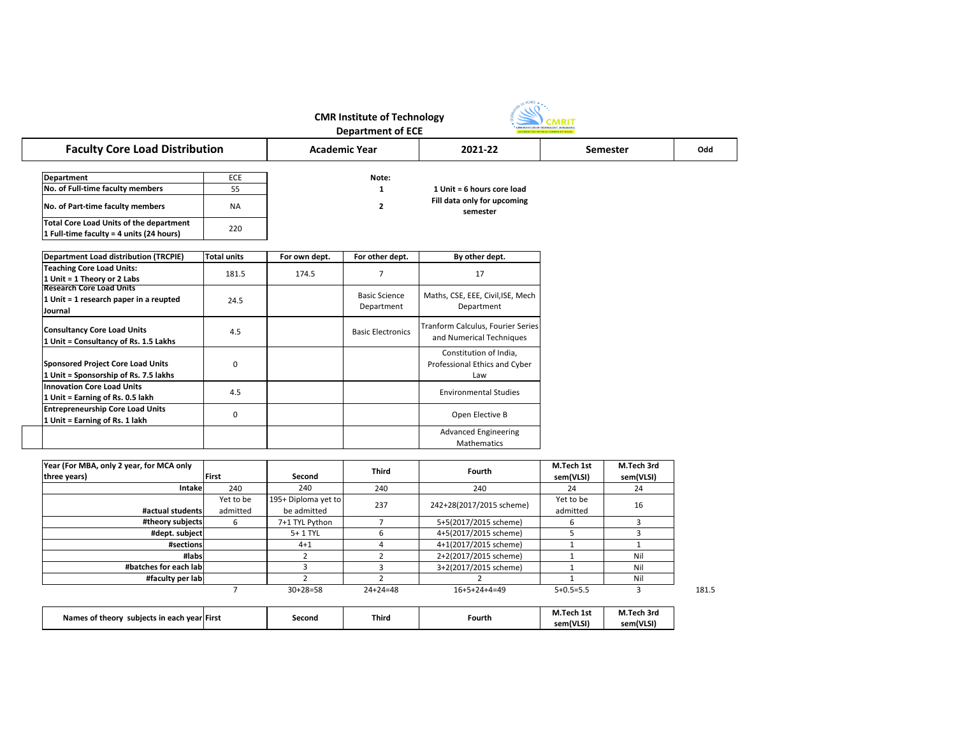| Names of theory             |  | Second | <b>Third</b> | Fourth | M.T<br>.Tech 1st | M.T<br>Coek.<br>ech 3rd |
|-----------------------------|--|--------|--------------|--------|------------------|-------------------------|
| subjects in each year First |  |        |              |        | sem(VLSI)        | sem(VLSI)               |

| <b>CMR Institute of Technology</b><br><b>Department of ECE</b>                             |                       |                                    |                                    |                                                                |                             |                         |       |  |  |  |
|--------------------------------------------------------------------------------------------|-----------------------|------------------------------------|------------------------------------|----------------------------------------------------------------|-----------------------------|-------------------------|-------|--|--|--|
| <b>Faculty Core Load Distribution</b>                                                      | <b>Academic Year</b>  |                                    | 2021-22                            | <b>Semester</b>                                                |                             | Odd                     |       |  |  |  |
| <b>Department</b><br>No. of Full-time faculty members                                      | ECE<br>55             |                                    | Note:<br>1                         | 1 Unit = 6 hours core load                                     |                             |                         |       |  |  |  |
| No. of Part-time faculty members                                                           | <b>NA</b>             |                                    | $\overline{\mathbf{2}}$            | Fill data only for upcoming<br>semester                        |                             |                         |       |  |  |  |
| <b>Total Core Load Units of the department</b><br>1 Full-time faculty = 4 units (24 hours) | 220                   |                                    |                                    |                                                                |                             |                         |       |  |  |  |
| Department Load distribution (TRCPIE)                                                      | <b>Total units</b>    | For own dept.                      | For other dept.                    | By other dept.                                                 |                             |                         |       |  |  |  |
| <b>Teaching Core Load Units:</b><br>1 Unit = 1 Theory or 2 Labs                            | 181.5                 | 174.5                              | 7                                  | 17                                                             |                             |                         |       |  |  |  |
| <b>Research Core Load Units</b><br>1 Unit = 1 research paper in a reupted<br>Journal       | 24.5                  |                                    | <b>Basic Science</b><br>Department | Maths, CSE, EEE, Civil, ISE, Mech<br>Department                |                             |                         |       |  |  |  |
| <b>Consultancy Core Load Units</b><br>1 Unit = Consultancy of Rs. 1.5 Lakhs                | 4.5                   |                                    | <b>Basic Electronics</b>           | Tranform Calculus, Fourier Series<br>and Numerical Techniques  |                             |                         |       |  |  |  |
| <b>Sponsored Project Core Load Units</b><br>1 Unit = Sponsorship of Rs. 7.5 lakhs          | 0                     |                                    |                                    | Constitution of India,<br>Professional Ethics and Cyber<br>Law |                             |                         |       |  |  |  |
| <b>Innovation Core Load Units</b><br>1 Unit = Earning of Rs. 0.5 lakh                      | 4.5                   |                                    |                                    | <b>Environmental Studies</b>                                   |                             |                         |       |  |  |  |
| <b>Entrepreneurship Core Load Units</b><br>1 Unit = Earning of Rs. 1 lakh                  | 0                     |                                    |                                    | Open Elective B                                                |                             |                         |       |  |  |  |
|                                                                                            |                       |                                    |                                    | <b>Advanced Engineering</b><br>Mathematics                     |                             |                         |       |  |  |  |
| Year (For MBA, only 2 year, for MCA only<br>three years)                                   | First                 | Second                             | <b>Third</b>                       | Fourth                                                         | M.Tech 1st<br>sem(VLSI)     | M.Tech 3rd<br>sem(VLSI) |       |  |  |  |
| <b>Intake</b>                                                                              | 240                   | 240                                | 240                                | 240                                                            | 24                          | 24                      |       |  |  |  |
| #actual students                                                                           | Yet to be<br>admitted | 195+ Diploma yet to<br>be admitted | 237                                | 242+28(2017/2015 scheme)                                       | Yet to be<br>admitted       | 16                      |       |  |  |  |
| #theory subjects                                                                           | 6                     | 7+1 TYL Python                     | 7                                  | 5+5(2017/2015 scheme)                                          | 6                           | 3                       |       |  |  |  |
| #dept. subject                                                                             |                       | 5+1 TYL                            | 6                                  | 4+5(2017/2015 scheme)                                          | 5                           | $\overline{3}$          |       |  |  |  |
| #sections                                                                                  |                       | $4 + 1$                            | 4                                  | 4+1(2017/2015 scheme)                                          | $\mathbf 1$                 | $\mathbf{1}$            |       |  |  |  |
| #labs                                                                                      |                       | $\overline{2}$                     | $\overline{2}$                     | 2+2(2017/2015 scheme)                                          | $\mathbf{1}$                | Nil                     |       |  |  |  |
| #batches for each lab                                                                      |                       | $\mathbf{3}$                       | 3                                  | 3+2(2017/2015 scheme)                                          | $\mathbf{1}$                | Nil                     |       |  |  |  |
| #faculty per lab                                                                           | $\overline{7}$        | $\overline{2}$<br>$30+28=58$       | $\overline{2}$<br>$24 + 24 = 48$   | 2<br>$16+5+24+4=49$                                            | $\mathbf{1}$<br>$5+0.5=5.5$ | Nil<br>3                | 181.5 |  |  |  |
|                                                                                            |                       |                                    |                                    |                                                                | M Toch 1st                  | M Toch 3rd              |       |  |  |  |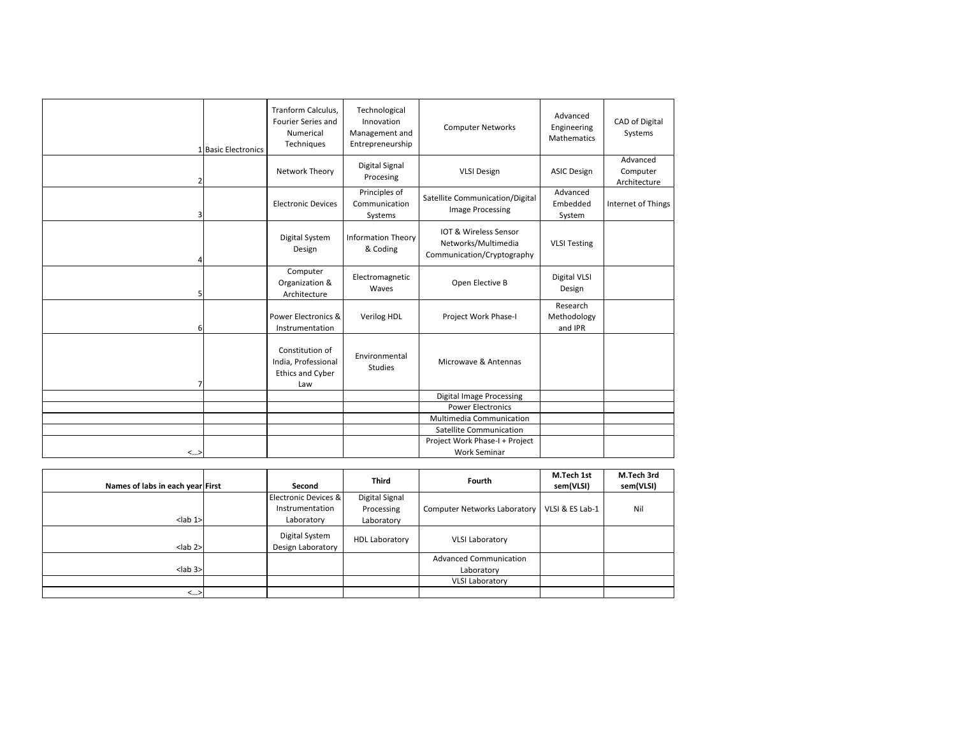|    | 1 Basic Electronics | Tranform Calculus,<br>Fourier Series and<br>Numerical<br>Techniques      | Technological<br>Innovation<br>Management and<br>Entrepreneurship | <b>Computer Networks</b>                                                   | Advanced<br>Engineering<br>Mathematics | <b>CAD of Digital</b><br>Systems     |
|----|---------------------|--------------------------------------------------------------------------|-------------------------------------------------------------------|----------------------------------------------------------------------------|----------------------------------------|--------------------------------------|
| 2  |                     | Network Theory                                                           | <b>Digital Signal</b><br>Procesing                                | <b>VLSI Design</b>                                                         | <b>ASIC Design</b>                     | Advanced<br>Computer<br>Architecture |
| 3  |                     | <b>Electronic Devices</b>                                                | Principles of<br>Communication<br>Systems                         | Satellite Communication/Digital<br>Image Processing                        | Advanced<br>Embedded<br>System         | Internet of Things                   |
| Δ  |                     | <b>Digital System</b><br>Design                                          | <b>Information Theory</b><br>& Coding                             | IOT & Wireless Sensor<br>Networks/Multimedia<br>Communication/Cryptography | <b>VLSI Testing</b>                    |                                      |
| 5  |                     | Computer<br>Organization &<br>Architecture                               | Electromagnetic<br>Waves                                          | Open Elective B                                                            | <b>Digital VLSI</b><br>Design          |                                      |
| 6  |                     | Power Electronics &<br>Instrumentation                                   | Verilog HDL                                                       | Project Work Phase-I                                                       | Research<br>Methodology<br>and IPR     |                                      |
| 7  |                     | Constitution of<br>India, Professional<br><b>Ethics and Cyber</b><br>Law | Environmental<br><b>Studies</b>                                   | Microwave & Antennas                                                       |                                        |                                      |
|    |                     |                                                                          |                                                                   | <b>Digital Image Processing</b>                                            |                                        |                                      |
|    |                     |                                                                          |                                                                   | <b>Power Electronics</b>                                                   |                                        |                                      |
|    |                     |                                                                          |                                                                   | Multimedia Communication                                                   |                                        |                                      |
|    |                     |                                                                          |                                                                   | <b>Satellite Communication</b>                                             |                                        |                                      |
|    |                     |                                                                          |                                                                   | Project Work Phase-I + Project                                             |                                        |                                      |
| <> |                     |                                                                          |                                                                   | <b>Work Seminar</b>                                                        |                                        |                                      |

| Names of labs in each year First | Second                              | <b>Third</b>   | Fourth                              | M.Tech 1st<br>sem(VLSI) | M.Tech 3rd<br>sem(VLSI) |
|----------------------------------|-------------------------------------|----------------|-------------------------------------|-------------------------|-------------------------|
|                                  | Electronic Devices &                | Digital Signal |                                     |                         |                         |
|                                  | Instrumentation                     | Processing     | <b>Computer Networks Laboratory</b> | VLSI & ES Lab-1         | Nil                     |
| $lab 1>$                         | Laboratory                          | Laboratory     |                                     |                         |                         |
| $lab$ 2>                         | Digital System<br>Design Laboratory | HDL Laboratory | <b>VLSI Laboratory</b>              |                         |                         |
|                                  |                                     |                | <b>Advanced Communication</b>       |                         |                         |
| $lab$ 3>                         |                                     | Laboratory     |                                     |                         |                         |
|                                  |                                     |                | <b>VLSI Laboratory</b>              |                         |                         |
| $\langle \dots \rangle$          |                                     |                |                                     |                         |                         |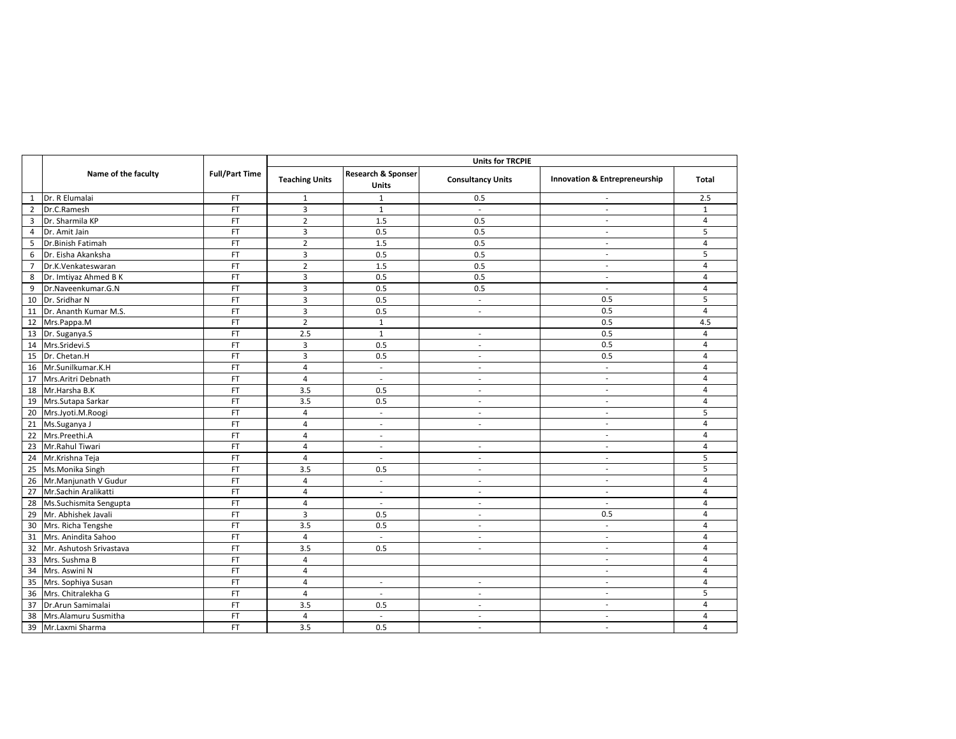|                |                            |                       |                       |                                               | <b>Units for TRCPIE</b>  |                                          |                         |  |  |  |
|----------------|----------------------------|-----------------------|-----------------------|-----------------------------------------------|--------------------------|------------------------------------------|-------------------------|--|--|--|
|                | Name of the faculty        | <b>Full/Part Time</b> | <b>Teaching Units</b> | <b>Research &amp; Sponser</b><br><b>Units</b> | <b>Consultancy Units</b> | <b>Innovation &amp; Entrepreneurship</b> | <b>Total</b>            |  |  |  |
| $\mathbf{1}$   | Dr. R Elumalai             | <b>FT</b>             | -1                    | -1                                            | 0.5                      | $\overline{\phantom{a}}$                 | 2.5                     |  |  |  |
|                | 2 Dr.C.Ramesh              | <b>FT</b>             | 3                     | $\mathbf{1}$                                  | $\overline{\phantom{a}}$ | $\overline{a}$                           | $\mathbf{1}$            |  |  |  |
| 3              | Dr. Sharmila KP            | FT                    | $\overline{2}$        | 1.5                                           | 0.5                      | $\overline{a}$                           | $\overline{\mathbf{4}}$ |  |  |  |
| $\overline{4}$ | Dr. Amit Jain              | <b>FT</b>             | $\mathbf{3}$          | 0.5                                           | 0.5                      | $\blacksquare$                           | 5                       |  |  |  |
| 5              | Dr.Binish Fatimah          | <b>FT</b>             | $\overline{2}$        | 1.5                                           | 0.5                      | $\blacksquare$                           | 4                       |  |  |  |
| 6              | Dr. Eisha Akanksha         | <b>FT</b>             | $\overline{3}$        | 0.5                                           | 0.5                      | $\overline{\phantom{a}}$                 | 5                       |  |  |  |
| $\overline{7}$ | Dr.K.Venkateswaran         | <b>FT</b>             | $\overline{2}$        | 1.5                                           | 0.5                      | $\overline{\phantom{a}}$                 | 4                       |  |  |  |
| 8              | Dr. Imtiyaz Ahmed B K      | FT                    | $\mathsf{3}$          | 0.5                                           | 0.5                      | $\overline{\phantom{a}}$                 | $\overline{\mathbf{4}}$ |  |  |  |
| 9              | Dr.Naveenkumar.G.N         | <b>FT</b>             | 3                     | 0.5                                           | 0.5                      | $\blacksquare$                           | 4                       |  |  |  |
|                | 10   Dr. Sridhar N         | <b>FT</b>             | 3                     | 0.5                                           | $\overline{\phantom{a}}$ | 0.5                                      | 5                       |  |  |  |
|                | 11   Dr. Ananth Kumar M.S. | <b>FT</b>             | $\overline{3}$        | 0.5                                           | $\overline{\phantom{a}}$ | 0.5                                      | 4                       |  |  |  |
|                | 12 Mrs.Pappa.M             | <b>FT</b>             | $\overline{2}$        | $\mathbf{1}$                                  |                          | 0.5                                      | 4.5                     |  |  |  |
|                | 13 Dr. Suganya.S           | FT                    | 2.5                   | $\mathbf{1}$                                  |                          | 0.5                                      | 4                       |  |  |  |
|                | 14 Mrs.Sridevi.S           | <b>FT</b>             | 3                     | 0.5                                           | $\overline{\phantom{a}}$ | 0.5                                      | 4                       |  |  |  |
|                | 15   Dr. Chetan.H          | <b>FT</b>             | 3                     | 0.5                                           | $\overline{\phantom{a}}$ | 0.5                                      | 4                       |  |  |  |
|                | 16 Mr.Sunilkumar.K.H       | <b>FT</b>             | 4                     | $\overline{\phantom{a}}$                      |                          | $\overline{\phantom{a}}$                 | 4                       |  |  |  |
|                | 17 Mrs. Aritri Debnath     | <b>FT</b>             | 4                     | $\overline{\phantom{a}}$                      | $\overline{\phantom{a}}$ | $\overline{\phantom{a}}$                 | 4                       |  |  |  |
|                | 18 Mr. Harsha B.K          | FT                    | 3.5                   | 0.5                                           | $\overline{\phantom{a}}$ | $\overline{\phantom{a}}$                 | $\overline{\mathbf{4}}$ |  |  |  |
|                | 19 Mrs. Sutapa Sarkar      | <b>FT</b>             | 3.5                   | 0.5                                           | $\overline{\phantom{a}}$ | $\overline{\phantom{a}}$                 | 4                       |  |  |  |
|                | 20 Mrs.Jyoti.M.Roogi       | <b>FT</b>             | 4                     | $\overline{\phantom{a}}$                      | $\overline{\phantom{a}}$ | $\overline{\phantom{a}}$                 | 5                       |  |  |  |
|                | 21 Ms.Suganya J            | <b>FT</b>             | 4                     | $\overline{\phantom{a}}$                      | $\overline{\phantom{a}}$ | $\overline{\phantom{a}}$                 | 4                       |  |  |  |
|                | 22 Mrs.Preethi.A           | <b>FT</b>             | 4                     | $\overline{\phantom{a}}$                      |                          | $\overline{\phantom{a}}$                 | 4                       |  |  |  |
| 23             | Mr.Rahul Tiwari            | FT                    | 4                     | $\overline{\phantom{a}}$                      |                          | $\overline{\phantom{a}}$                 | 4                       |  |  |  |
|                | 24 Mr.Krishna Teja         | <b>FT</b>             | 4                     | $\overline{\phantom{a}}$                      | $\overline{\phantom{a}}$ | $\overline{\phantom{a}}$                 | 5                       |  |  |  |
|                | 25 Ms.Monika Singh         | <b>FT</b>             | 3.5                   | 0.5                                           | $\overline{\phantom{a}}$ | $\blacksquare$                           | 5                       |  |  |  |
|                | 26 Mr. Manjunath V Gudur   | FT                    | 4                     | $\overline{\phantom{a}}$                      | $\overline{\phantom{a}}$ | $\overline{\phantom{a}}$                 | 4                       |  |  |  |
|                | 27 Mr. Sachin Aralikatti   | <b>FT</b>             | 4                     | $\overline{\phantom{a}}$                      | $\overline{\phantom{a}}$ | $\overline{\phantom{a}}$                 | 4                       |  |  |  |
|                | 28 Ms. Suchismita Sengupta | <b>FT</b>             | 4                     | $\overline{\phantom{a}}$                      |                          | $\blacksquare$                           | 4                       |  |  |  |
|                | 29 Mr. Abhishek Javali     | FT                    | $\overline{3}$        | 0.5                                           | $\overline{\phantom{a}}$ | 0.5                                      | $\overline{a}$          |  |  |  |
|                | 30 Mrs. Richa Tengshe      | FT                    | 3.5                   | 0.5                                           | $\overline{\phantom{a}}$ | $\blacksquare$                           | 4                       |  |  |  |
|                | 31 Mrs. Anindita Sahoo     | FT                    | 4                     | $\overline{\phantom{a}}$                      | $\overline{\phantom{a}}$ | $\overline{\phantom{a}}$                 | 4                       |  |  |  |
|                | 32 Mr. Ashutosh Srivastava | FT                    | 3.5                   | 0.5                                           | $\overline{\phantom{a}}$ | $\overline{\phantom{a}}$                 | $\overline{a}$          |  |  |  |
|                | 33 Mrs. Sushma B           | $\mathsf{FT}$         | 4                     |                                               |                          | $\overline{a}$                           | 4                       |  |  |  |
|                | 34 Mrs. Aswini N           | FT                    | 4                     |                                               |                          |                                          | 4                       |  |  |  |
|                | 35 Mrs. Sophiya Susan      | FT                    | 4                     | $\overline{\phantom{a}}$                      | $\overline{\phantom{a}}$ | $\overline{\phantom{a}}$                 | 4                       |  |  |  |
|                | 36 Mrs. Chitralekha G      | FT                    | 4                     | $\overline{\phantom{a}}$                      | $\overline{\phantom{a}}$ | $\overline{\phantom{a}}$                 | 5                       |  |  |  |
|                | 37 Dr. Arun Samimalai      | FT                    | 3.5                   | 0.5                                           | $\overline{\phantom{a}}$ | $\overline{\phantom{a}}$                 | $\overline{a}$          |  |  |  |
|                | 38 Mrs. Alamuru Susmitha   | FT                    | 4                     |                                               | $\overline{\phantom{a}}$ | $\overline{a}$                           | $\overline{a}$          |  |  |  |
|                | 39 Mr.Laxmi Sharma         | FT                    | 3.5                   | 0.5                                           | $\overline{\phantom{a}}$ | $\overline{\phantom{a}}$                 | $\overline{a}$          |  |  |  |